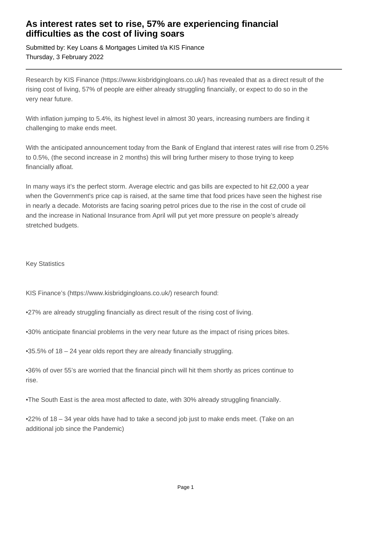## **As interest rates set to rise, 57% are experiencing financial difficulties as the cost of living soars**

Submitted by: Key Loans & Mortgages Limited t/a KIS Finance Thursday, 3 February 2022

Research by KIS Finance (https://www.kisbridgingloans.co.uk/) has revealed that as a direct result of the rising cost of living, 57% of people are either already struggling financially, or expect to do so in the very near future.

With inflation jumping to 5.4%, its highest level in almost 30 years, increasing numbers are finding it challenging to make ends meet.

With the anticipated announcement today from the Bank of England that interest rates will rise from 0.25% to 0.5%, (the second increase in 2 months) this will bring further misery to those trying to keep financially afloat.

In many ways it's the perfect storm. Average electric and gas bills are expected to hit £2,000 a year when the Government's price cap is raised, at the same time that food prices have seen the highest rise in nearly a decade. Motorists are facing soaring petrol prices due to the rise in the cost of crude oil and the increase in National Insurance from April will put yet more pressure on people's already stretched budgets.

Key Statistics

KIS Finance's (https://www.kisbridgingloans.co.uk/) research found:

•27% are already struggling financially as direct result of the rising cost of living.

•30% anticipate financial problems in the very near future as the impact of rising prices bites.

•35.5% of 18 – 24 year olds report they are already financially struggling.

•36% of over 55's are worried that the financial pinch will hit them shortly as prices continue to rise.

•The South East is the area most affected to date, with 30% already struggling financially.

•22% of 18 – 34 year olds have had to take a second job just to make ends meet. (Take on an additional job since the Pandemic)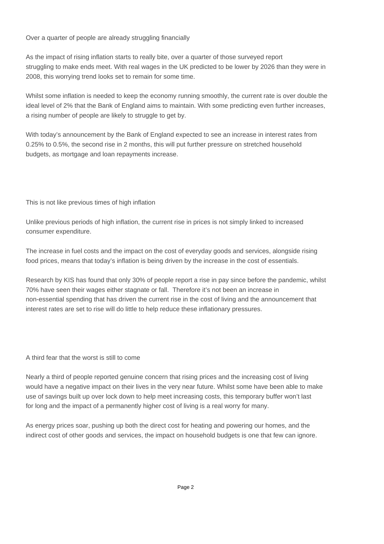Over a quarter of people are already struggling financially

As the impact of rising inflation starts to really bite, over a quarter of those surveyed report struggling to make ends meet. With real wages in the UK predicted to be lower by 2026 than they were in 2008, this worrying trend looks set to remain for some time.

Whilst some inflation is needed to keep the economy running smoothly, the current rate is over double the ideal level of 2% that the Bank of England aims to maintain. With some predicting even further increases, a rising number of people are likely to struggle to get by.

With today's announcement by the Bank of England expected to see an increase in interest rates from 0.25% to 0.5%, the second rise in 2 months, this will put further pressure on stretched household budgets, as mortgage and loan repayments increase.

This is not like previous times of high inflation

Unlike previous periods of high inflation, the current rise in prices is not simply linked to increased consumer expenditure.

The increase in fuel costs and the impact on the cost of everyday goods and services, alongside rising food prices, means that today's inflation is being driven by the increase in the cost of essentials.

Research by KIS has found that only 30% of people report a rise in pay since before the pandemic, whilst 70% have seen their wages either stagnate or fall. Therefore it's not been an increase in non-essential spending that has driven the current rise in the cost of living and the announcement that interest rates are set to rise will do little to help reduce these inflationary pressures.

A third fear that the worst is still to come

Nearly a third of people reported genuine concern that rising prices and the increasing cost of living would have a negative impact on their lives in the very near future. Whilst some have been able to make use of savings built up over lock down to help meet increasing costs, this temporary buffer won't last for long and the impact of a permanently higher cost of living is a real worry for many.

As energy prices soar, pushing up both the direct cost for heating and powering our homes, and the indirect cost of other goods and services, the impact on household budgets is one that few can ignore.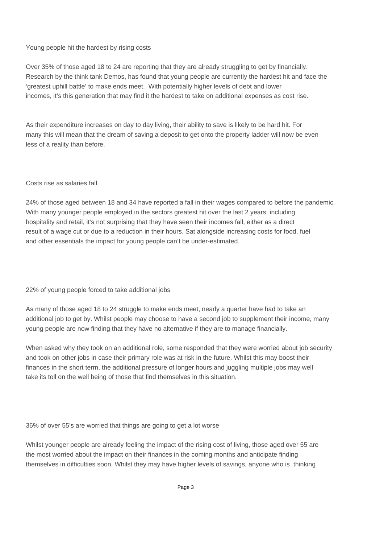#### Young people hit the hardest by rising costs

Over 35% of those aged 18 to 24 are reporting that they are already struggling to get by financially. Research by the think tank Demos, has found that young people are currently the hardest hit and face the 'greatest uphill battle' to make ends meet. With potentially higher levels of debt and lower incomes, it's this generation that may find it the hardest to take on additional expenses as cost rise.

As their expenditure increases on day to day living, their ability to save is likely to be hard hit. For many this will mean that the dream of saving a deposit to get onto the property ladder will now be even less of a reality than before.

#### Costs rise as salaries fall

24% of those aged between 18 and 34 have reported a fall in their wages compared to before the pandemic. With many younger people employed in the sectors greatest hit over the last 2 years, including hospitality and retail, it's not surprising that they have seen their incomes fall, either as a direct result of a wage cut or due to a reduction in their hours. Sat alongside increasing costs for food, fuel and other essentials the impact for young people can't be under-estimated.

22% of young people forced to take additional jobs

As many of those aged 18 to 24 struggle to make ends meet, nearly a quarter have had to take an additional job to get by. Whilst people may choose to have a second job to supplement their income, many young people are now finding that they have no alternative if they are to manage financially.

When asked why they took on an additional role, some responded that they were worried about job security and took on other jobs in case their primary role was at risk in the future. Whilst this may boost their finances in the short term, the additional pressure of longer hours and juggling multiple jobs may well take its toll on the well being of those that find themselves in this situation.

36% of over 55's are worried that things are going to get a lot worse

Whilst younger people are already feeling the impact of the rising cost of living, those aged over 55 are the most worried about the impact on their finances in the coming months and anticipate finding themselves in difficulties soon. Whilst they may have higher levels of savings, anyone who is thinking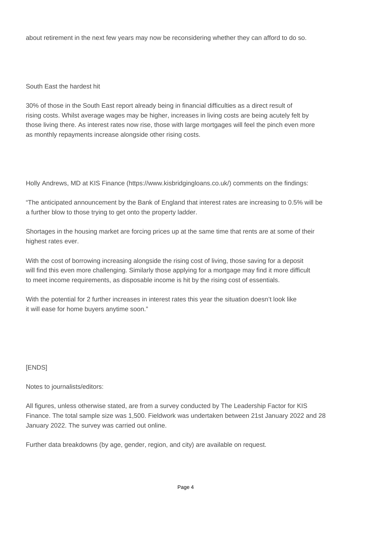about retirement in the next few years may now be reconsidering whether they can afford to do so.

#### South East the hardest hit

30% of those in the South East report already being in financial difficulties as a direct result of rising costs. Whilst average wages may be higher, increases in living costs are being acutely felt by those living there. As interest rates now rise, those with large mortgages will feel the pinch even more as monthly repayments increase alongside other rising costs.

Holly Andrews, MD at KIS Finance (https://www.kisbridgingloans.co.uk/) comments on the findings:

"The anticipated announcement by the Bank of England that interest rates are increasing to 0.5% will be a further blow to those trying to get onto the property ladder.

Shortages in the housing market are forcing prices up at the same time that rents are at some of their highest rates ever.

With the cost of borrowing increasing alongside the rising cost of living, those saving for a deposit will find this even more challenging. Similarly those applying for a mortgage may find it more difficult to meet income requirements, as disposable income is hit by the rising cost of essentials.

With the potential for 2 further increases in interest rates this year the situation doesn't look like it will ease for home buyers anytime soon."

### [ENDS]

Notes to journalists/editors:

All figures, unless otherwise stated, are from a survey conducted by The Leadership Factor for KIS Finance. The total sample size was 1,500. Fieldwork was undertaken between 21st January 2022 and 28 January 2022. The survey was carried out online.

Further data breakdowns (by age, gender, region, and city) are available on request.